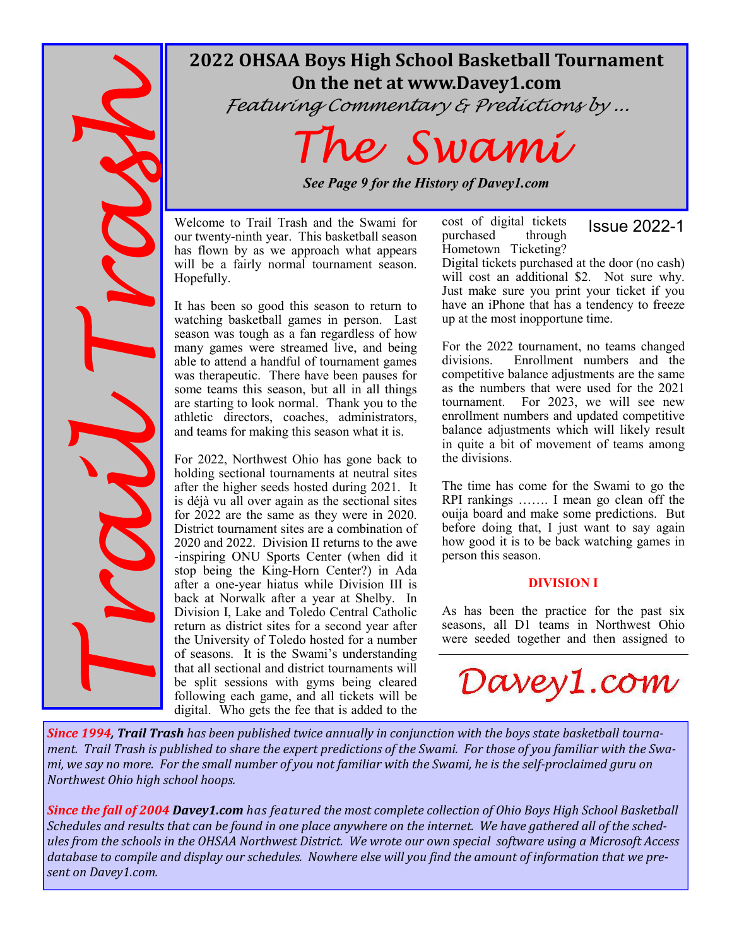

# **2022 OHSAA Boys High School Basketball Tournament On the net at www.Davey1.com**

Featuring Commentary & Predictions by ...



*See Page 9 for the History of Davey1.com*

Welcome to Trail Trash and the Swami for our twenty-ninth year. This basketball season has flown by as we approach what appears will be a fairly normal tournament season. Hopefully.

It has been so good this season to return to watching basketball games in person. Last season was tough as a fan regardless of how many games were streamed live, and being able to attend a handful of tournament games was therapeutic. There have been pauses for some teams this season, but all in all things are starting to look normal. Thank you to the athletic directors, coaches, administrators, and teams for making this season what it is.

For 2022, Northwest Ohio has gone back to holding sectional tournaments at neutral sites after the higher seeds hosted during 2021. It is déjà vu all over again as the sectional sites for 2022 are the same as they were in 2020. District tournament sites are a combination of 2020 and 2022. Division II returns to the awe -inspiring ONU Sports Center (when did it stop being the King-Horn Center?) in Ada after a one-year hiatus while Division III is back at Norwalk after a year at Shelby. In Division I, Lake and Toledo Central Catholic return as district sites for a second year after the University of Toledo hosted for a number of seasons. It is the Swami's understanding that all sectional and district tournaments will be split sessions with gyms being cleared following each game, and all tickets will be digital. Who gets the fee that is added to the

cost of digital tickets purchased through Hometown Ticketing?

# Issue 2022-1

Digital tickets purchased at the door (no cash) will cost an additional \$2. Not sure why. Just make sure you print your ticket if you have an iPhone that has a tendency to freeze up at the most inopportune time.

For the 2022 tournament, no teams changed divisions. Enrollment numbers and the competitive balance adjustments are the same as the numbers that were used for the 2021 tournament. For 2023, we will see new enrollment numbers and updated competitive balance adjustments which will likely result in quite a bit of movement of teams among the divisions.

The time has come for the Swami to go the RPI rankings ……. I mean go clean off the ouija board and make some predictions. But before doing that, I just want to say again how good it is to be back watching games in person this season.

## **DIVISION I**

As has been the practice for the past six seasons, all D1 teams in Northwest Ohio were seeded together and then assigned to



*Since 1994, Trail Trash has been published twice annually in conjunction with the boys state basketball tournament. Trail Trash is published to share the expert predictions of the Swami. For those of you familiar with the Swami,* we say no more. For the small number of you not familiar with the Swami, he is the self-proclaimed guru on *Northwest Ohio high school hoops.* 

*Since the fall of 2004 Davey1.com* has featured the most complete collection of Ohio Boys High School Basketball *Schedules* and results that can be found in one place anywhere on the internet. We have gathered all of the schedules from the schools in the OHSAA Northwest District. We wrote our own special software using a Microsoft Access database to compile and display our schedules. Nowhere else will you find the amount of information that we present on Davey1.com.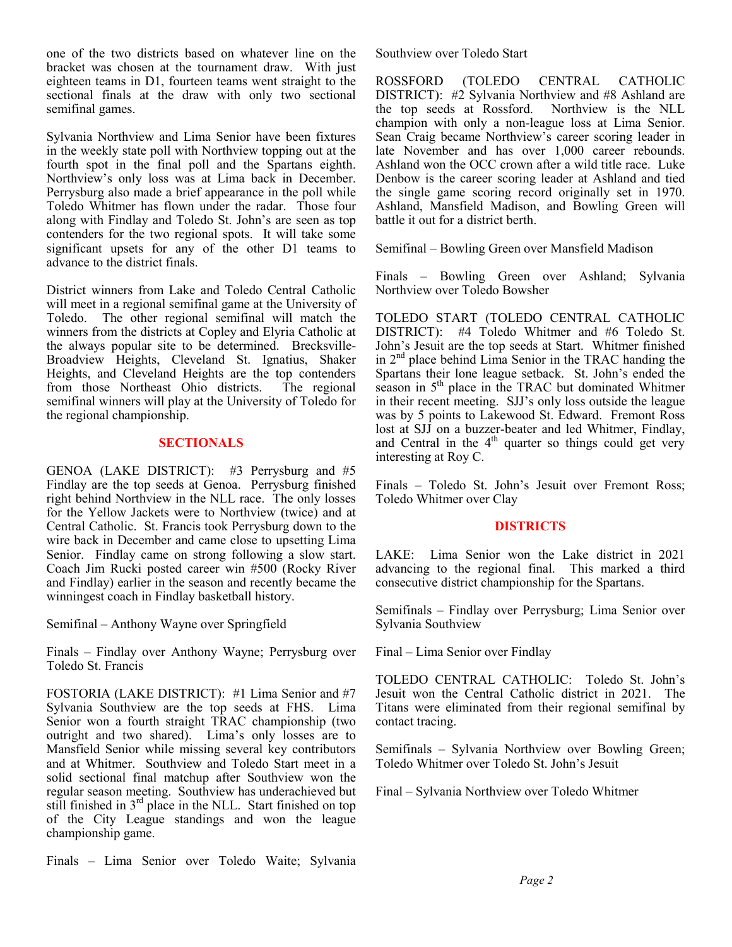one of the two districts based on whatever line on the bracket was chosen at the tournament draw. With just eighteen teams in D1, fourteen teams went straight to the sectional finals at the draw with only two sectional semifinal games.

Sylvania Northview and Lima Senior have been fixtures in the weekly state poll with Northview topping out at the fourth spot in the final poll and the Spartans eighth. Northview's only loss was at Lima back in December. Perrysburg also made a brief appearance in the poll while Toledo Whitmer has flown under the radar. Those four along with Findlay and Toledo St. John's are seen as top contenders for the two regional spots. It will take some significant upsets for any of the other D1 teams to advance to the district finals.

District winners from Lake and Toledo Central Catholic will meet in a regional semifinal game at the University of Toledo. The other regional semifinal will match the winners from the districts at Copley and Elyria Catholic at the always popular site to be determined. Brecksville-Broadview Heights, Cleveland St. Ignatius, Shaker Heights, and Cleveland Heights are the top contenders from those Northeast Ohio districts. The regional semifinal winners will play at the University of Toledo for the regional championship.

#### **SECTIONALS**

GENOA (LAKE DISTRICT): #3 Perrysburg and #5 Findlay are the top seeds at Genoa. Perrysburg finished right behind Northview in the NLL race. The only losses for the Yellow Jackets were to Northview (twice) and at Central Catholic. St. Francis took Perrysburg down to the wire back in December and came close to upsetting Lima Senior. Findlay came on strong following a slow start. Coach Jim Rucki posted career win #500 (Rocky River and Findlay) earlier in the season and recently became the winningest coach in Findlay basketball history.

Semifinal – Anthony Wayne over Springfield

Finals – Findlay over Anthony Wayne; Perrysburg over Toledo St. Francis

FOSTORIA (LAKE DISTRICT): #1 Lima Senior and #7 Sylvania Southview are the top seeds at FHS. Lima Senior won a fourth straight TRAC championship (two outright and two shared). Lima's only losses are to Mansfield Senior while missing several key contributors and at Whitmer. Southview and Toledo Start meet in a solid sectional final matchup after Southview won the regular season meeting. Southview has underachieved but still finished in 3rd place in the NLL. Start finished on top of the City League standings and won the league championship game.

Finals – Lima Senior over Toledo Waite; Sylvania

Southview over Toledo Start

ROSSFORD (TOLEDO CENTRAL CATHOLIC DISTRICT): #2 Sylvania Northview and #8 Ashland are the top seeds at Rossford. Northview is the NLL champion with only a non-league loss at Lima Senior. Sean Craig became Northview's career scoring leader in late November and has over 1,000 career rebounds. Ashland won the OCC crown after a wild title race. Luke Denbow is the career scoring leader at Ashland and tied the single game scoring record originally set in 1970. Ashland, Mansfield Madison, and Bowling Green will battle it out for a district berth.

Semifinal – Bowling Green over Mansfield Madison

Finals – Bowling Green over Ashland; Sylvania Northview over Toledo Bowsher

TOLEDO START (TOLEDO CENTRAL CATHOLIC DISTRICT): #4 Toledo Whitmer and #6 Toledo St. John's Jesuit are the top seeds at Start. Whitmer finished in 2<sup>nd</sup> place behind Lima Senior in the TRAC handing the Spartans their lone league setback. St. John's ended the season in 5<sup>th</sup> place in the TRAC but dominated Whitmer in their recent meeting. SJJ's only loss outside the league was by 5 points to Lakewood St. Edward. Fremont Ross lost at SJJ on a buzzer-beater and led Whitmer, Findlay, and Central in the  $4<sup>th</sup>$  quarter so things could get very interesting at Roy C.

Finals – Toledo St. John's Jesuit over Fremont Ross; Toledo Whitmer over Clay

## **DISTRICTS**

LAKE: Lima Senior won the Lake district in 2021 advancing to the regional final. This marked a third consecutive district championship for the Spartans.

Semifinals – Findlay over Perrysburg; Lima Senior over Sylvania Southview

Final – Lima Senior over Findlay

TOLEDO CENTRAL CATHOLIC: Toledo St. John's Jesuit won the Central Catholic district in 2021. The Titans were eliminated from their regional semifinal by contact tracing.

Semifinals – Sylvania Northview over Bowling Green; Toledo Whitmer over Toledo St. John's Jesuit

Final – Sylvania Northview over Toledo Whitmer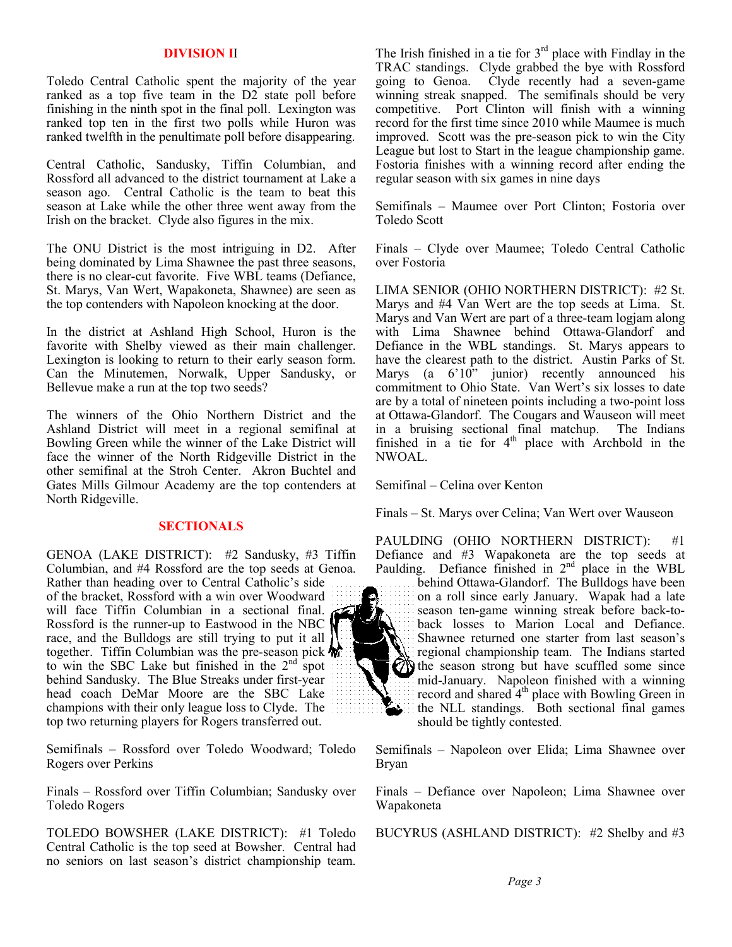#### **DIVISION I**I

Toledo Central Catholic spent the majority of the year ranked as a top five team in the D2 state poll before finishing in the ninth spot in the final poll. Lexington was ranked top ten in the first two polls while Huron was ranked twelfth in the penultimate poll before disappearing.

Central Catholic, Sandusky, Tiffin Columbian, and Rossford all advanced to the district tournament at Lake a season ago. Central Catholic is the team to beat this season at Lake while the other three went away from the Irish on the bracket. Clyde also figures in the mix.

The ONU District is the most intriguing in D2. After being dominated by Lima Shawnee the past three seasons, there is no clear-cut favorite. Five WBL teams (Defiance, St. Marys, Van Wert, Wapakoneta, Shawnee) are seen as the top contenders with Napoleon knocking at the door.

In the district at Ashland High School, Huron is the favorite with Shelby viewed as their main challenger. Lexington is looking to return to their early season form. Can the Minutemen, Norwalk, Upper Sandusky, or Bellevue make a run at the top two seeds?

The winners of the Ohio Northern District and the Ashland District will meet in a regional semifinal at Bowling Green while the winner of the Lake District will face the winner of the North Ridgeville District in the other semifinal at the Stroh Center. Akron Buchtel and Gates Mills Gilmour Academy are the top contenders at North Ridgeville.

#### **SECTIONALS**

GENOA (LAKE DISTRICT): #2 Sandusky, #3 Tiffin Columbian, and #4 Rossford are the top seeds at Genoa.

Rather than heading over to Central Catholic's side of the bracket, Rossford with a win over Woodward will face Tiffin Columbian in a sectional final. Rossford is the runner-up to Eastwood in the NBC race, and the Bulldogs are still trying to put it all together. Tiffin Columbian was the pre-season pick to win the SBC Lake but finished in the  $2<sup>nd</sup>$  spot behind Sandusky. The Blue Streaks under first-year head coach DeMar Moore are the SBC Lake champions with their only league loss to Clyde. The top two returning players for Rogers transferred out.

Semifinals – Rossford over Toledo Woodward; Toledo Rogers over Perkins

Finals – Rossford over Tiffin Columbian; Sandusky over Toledo Rogers

TOLEDO BOWSHER (LAKE DISTRICT): #1 Toledo Central Catholic is the top seed at Bowsher. Central had no seniors on last season's district championship team.

The Irish finished in a tie for  $3<sup>rd</sup>$  place with Findlay in the TRAC standings. Clyde grabbed the bye with Rossford going to Genoa. Clyde recently had a seven-game winning streak snapped. The semifinals should be very competitive. Port Clinton will finish with a winning record for the first time since 2010 while Maumee is much improved. Scott was the pre-season pick to win the City League but lost to Start in the league championship game. Fostoria finishes with a winning record after ending the regular season with six games in nine days

Semifinals – Maumee over Port Clinton; Fostoria over Toledo Scott

Finals – Clyde over Maumee; Toledo Central Catholic over Fostoria

LIMA SENIOR (OHIO NORTHERN DISTRICT): #2 St. Marys and #4 Van Wert are the top seeds at Lima. St. Marys and Van Wert are part of a three-team logjam along with Lima Shawnee behind Ottawa-Glandorf and Defiance in the WBL standings. St. Marys appears to have the clearest path to the district. Austin Parks of St. Marys (a  $6'10''$  junior) recently announced his commitment to Ohio State. Van Wert's six losses to date are by a total of nineteen points including a two-point loss at Ottawa-Glandorf. The Cougars and Wauseon will meet in a bruising sectional final matchup. The Indians finished in a tie for  $4<sup>th</sup>$  place with Archbold in the NWOAL.

Semifinal – Celina over Kenton

Finals – St. Marys over Celina; Van Wert over Wauseon

PAULDING (OHIO NORTHERN DISTRICT): #1 Defiance and #3 Wapakoneta are the top seeds at Paulding. Defiance finished in  $2<sup>nd</sup>$  place in the WBL

behind Ottawa-Glandorf. The Bulldogs have been on a roll since early January. Wapak had a late season ten-game winning streak before back-toback losses to Marion Local and Defiance. Shawnee returned one starter from last season's regional championship team. The Indians started the season strong but have scuffled some since mid-January. Napoleon finished with a winning record and shared  $4<sup>th</sup>$  place with Bowling Green in the NLL standings. Both sectional final games should be tightly contested.

Semifinals – Napoleon over Elida; Lima Shawnee over Bryan

Finals – Defiance over Napoleon; Lima Shawnee over Wapakoneta

BUCYRUS (ASHLAND DISTRICT): #2 Shelby and #3

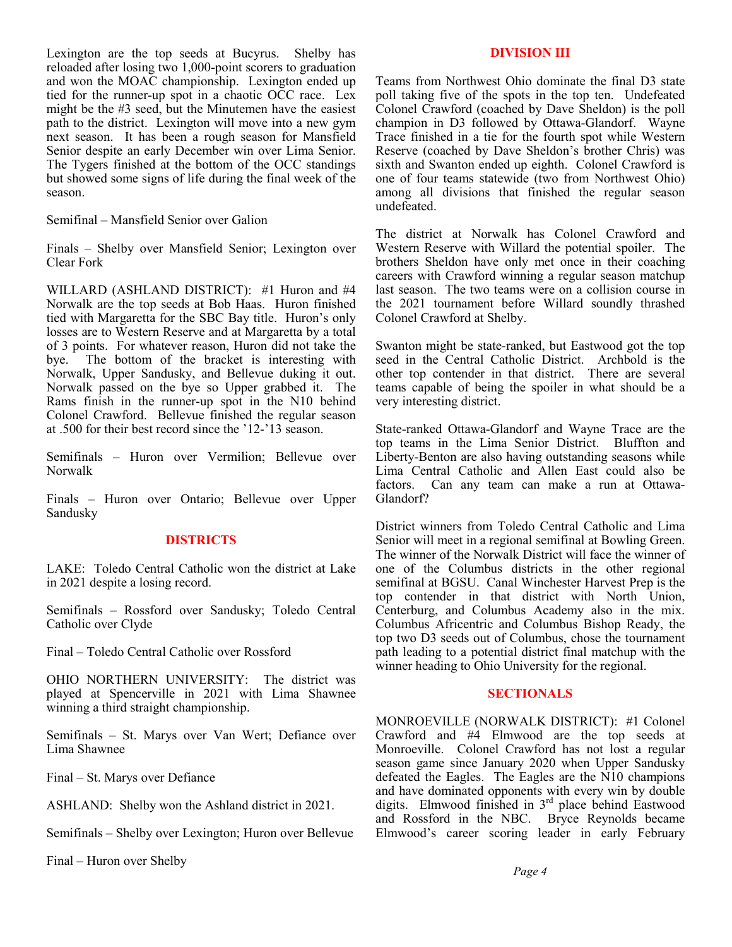Lexington are the top seeds at Bucyrus. Shelby has reloaded after losing two 1,000-point scorers to graduation and won the MOAC championship. Lexington ended up tied for the runner-up spot in a chaotic OCC race. Lex might be the #3 seed, but the Minutemen have the easiest path to the district. Lexington will move into a new gym next season. It has been a rough season for Mansfield Senior despite an early December win over Lima Senior. The Tygers finished at the bottom of the OCC standings but showed some signs of life during the final week of the season.

Semifinal – Mansfield Senior over Galion

Finals – Shelby over Mansfield Senior; Lexington over Clear Fork

WILLARD (ASHLAND DISTRICT): #1 Huron and #4 Norwalk are the top seeds at Bob Haas. Huron finished tied with Margaretta for the SBC Bay title. Huron's only losses are to Western Reserve and at Margaretta by a total of 3 points. For whatever reason, Huron did not take the bye. The bottom of the bracket is interesting with Norwalk, Upper Sandusky, and Bellevue duking it out. Norwalk passed on the bye so Upper grabbed it. The Rams finish in the runner-up spot in the N10 behind Colonel Crawford. Bellevue finished the regular season at .500 for their best record since the '12-'13 season.

Semifinals – Huron over Vermilion; Bellevue over Norwalk

Finals – Huron over Ontario; Bellevue over Upper Sandusky

## **DISTRICTS**

LAKE: Toledo Central Catholic won the district at Lake in 2021 despite a losing record.

Semifinals – Rossford over Sandusky; Toledo Central Catholic over Clyde

Final – Toledo Central Catholic over Rossford

OHIO NORTHERN UNIVERSITY: The district was played at Spencerville in 2021 with Lima Shawnee winning a third straight championship.

Semifinals – St. Marys over Van Wert; Defiance over Lima Shawnee

Final – St. Marys over Defiance

ASHLAND: Shelby won the Ashland district in 2021.

Semifinals – Shelby over Lexington; Huron over Bellevue

Final – Huron over Shelby

#### **DIVISION III**

Teams from Northwest Ohio dominate the final D3 state poll taking five of the spots in the top ten. Undefeated Colonel Crawford (coached by Dave Sheldon) is the poll champion in D3 followed by Ottawa-Glandorf. Wayne Trace finished in a tie for the fourth spot while Western Reserve (coached by Dave Sheldon's brother Chris) was sixth and Swanton ended up eighth. Colonel Crawford is one of four teams statewide (two from Northwest Ohio) among all divisions that finished the regular season undefeated.

The district at Norwalk has Colonel Crawford and Western Reserve with Willard the potential spoiler. The brothers Sheldon have only met once in their coaching careers with Crawford winning a regular season matchup last season. The two teams were on a collision course in the 2021 tournament before Willard soundly thrashed Colonel Crawford at Shelby.

Swanton might be state-ranked, but Eastwood got the top seed in the Central Catholic District. Archbold is the other top contender in that district. There are several teams capable of being the spoiler in what should be a very interesting district.

State-ranked Ottawa-Glandorf and Wayne Trace are the top teams in the Lima Senior District. Bluffton and Liberty-Benton are also having outstanding seasons while Lima Central Catholic and Allen East could also be factors. Can any team can make a run at Ottawa-Glandorf?

District winners from Toledo Central Catholic and Lima Senior will meet in a regional semifinal at Bowling Green. The winner of the Norwalk District will face the winner of one of the Columbus districts in the other regional semifinal at BGSU. Canal Winchester Harvest Prep is the top contender in that district with North Union, Centerburg, and Columbus Academy also in the mix. Columbus Africentric and Columbus Bishop Ready, the top two D3 seeds out of Columbus, chose the tournament path leading to a potential district final matchup with the winner heading to Ohio University for the regional.

#### **SECTIONALS**

MONROEVILLE (NORWALK DISTRICT): #1 Colonel Crawford and #4 Elmwood are the top seeds at Monroeville. Colonel Crawford has not lost a regular season game since January 2020 when Upper Sandusky defeated the Eagles. The Eagles are the N10 champions and have dominated opponents with every win by double digits. Elmwood finished in 3rd place behind Eastwood and Rossford in the NBC. Bryce Reynolds became Elmwood's career scoring leader in early February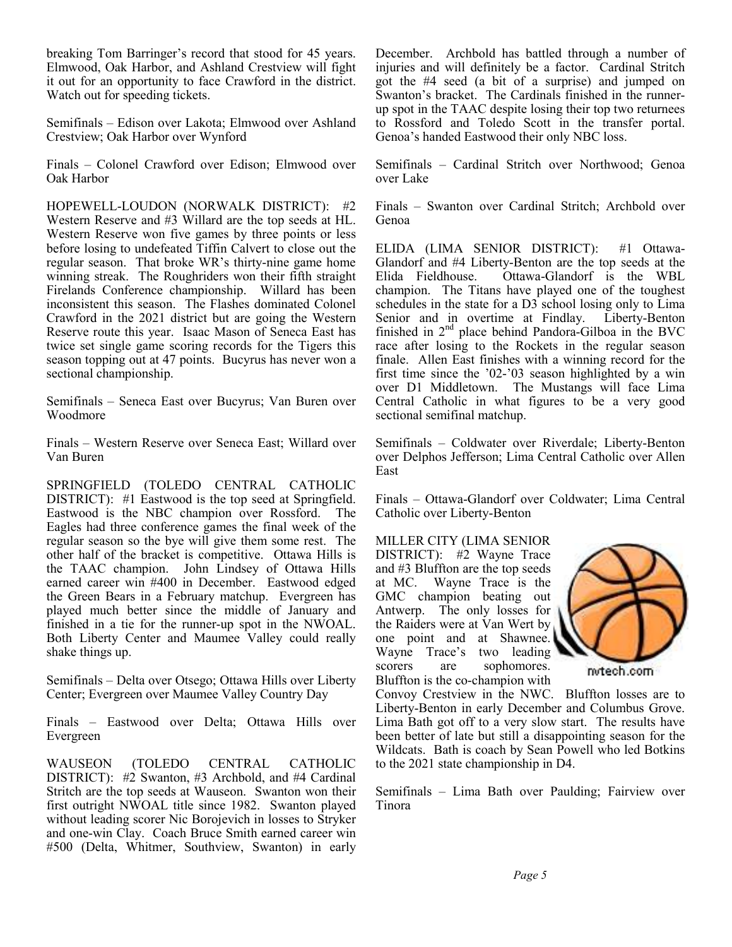breaking Tom Barringer's record that stood for 45 years. Elmwood, Oak Harbor, and Ashland Crestview will fight it out for an opportunity to face Crawford in the district. Watch out for speeding tickets.

Semifinals – Edison over Lakota; Elmwood over Ashland Crestview; Oak Harbor over Wynford

Finals – Colonel Crawford over Edison; Elmwood over Oak Harbor

HOPEWELL-LOUDON (NORWALK DISTRICT): #2 Western Reserve and #3 Willard are the top seeds at HL. Western Reserve won five games by three points or less before losing to undefeated Tiffin Calvert to close out the regular season. That broke WR's thirty-nine game home winning streak. The Roughriders won their fifth straight Firelands Conference championship. Willard has been inconsistent this season. The Flashes dominated Colonel Crawford in the 2021 district but are going the Western Reserve route this year. Isaac Mason of Seneca East has twice set single game scoring records for the Tigers this season topping out at 47 points. Bucyrus has never won a sectional championship.

Semifinals – Seneca East over Bucyrus; Van Buren over Woodmore

Finals – Western Reserve over Seneca East; Willard over Van Buren

SPRINGFIELD (TOLEDO CENTRAL CATHOLIC DISTRICT): #1 Eastwood is the top seed at Springfield. Eastwood is the NBC champion over Rossford. The Eagles had three conference games the final week of the regular season so the bye will give them some rest. The other half of the bracket is competitive. Ottawa Hills is the TAAC champion. John Lindsey of Ottawa Hills earned career win #400 in December. Eastwood edged the Green Bears in a February matchup. Evergreen has played much better since the middle of January and finished in a tie for the runner-up spot in the NWOAL. Both Liberty Center and Maumee Valley could really shake things up.

Semifinals – Delta over Otsego; Ottawa Hills over Liberty Center; Evergreen over Maumee Valley Country Day

Finals – Eastwood over Delta; Ottawa Hills over Evergreen

WAUSEON (TOLEDO CENTRAL CATHOLIC DISTRICT): #2 Swanton, #3 Archbold, and #4 Cardinal Stritch are the top seeds at Wauseon. Swanton won their first outright NWOAL title since 1982. Swanton played without leading scorer Nic Borojevich in losses to Stryker and one-win Clay. Coach Bruce Smith earned career win #500 (Delta, Whitmer, Southview, Swanton) in early December. Archbold has battled through a number of injuries and will definitely be a factor. Cardinal Stritch got the #4 seed (a bit of a surprise) and jumped on Swanton's bracket. The Cardinals finished in the runnerup spot in the TAAC despite losing their top two returnees to Rossford and Toledo Scott in the transfer portal. Genoa's handed Eastwood their only NBC loss.

Semifinals – Cardinal Stritch over Northwood; Genoa over Lake

Finals – Swanton over Cardinal Stritch; Archbold over Genoa

ELIDA (LIMA SENIOR DISTRICT): #1 Ottawa-Glandorf and #4 Liberty-Benton are the top seeds at the Elida Fieldhouse. Ottawa-Glandorf is the WBL Ottawa-Glandorf is the WBL champion. The Titans have played one of the toughest schedules in the state for a D3 school losing only to Lima<br>Senior and in overtime at Findlay. Liberty-Benton Senior and in overtime at Findlay. finished in  $2<sup>nd</sup>$  place behind Pandora-Gilboa in the BVC race after losing to the Rockets in the regular season finale. Allen East finishes with a winning record for the first time since the '02-'03 season highlighted by a win over D1 Middletown. The Mustangs will face Lima Central Catholic in what figures to be a very good sectional semifinal matchup.

Semifinals – Coldwater over Riverdale; Liberty-Benton over Delphos Jefferson; Lima Central Catholic over Allen East

Finals – Ottawa-Glandorf over Coldwater; Lima Central Catholic over Liberty-Benton

MILLER CITY (LIMA SENIOR DISTRICT): #2 Wayne Trace and #3 Bluffton are the top seeds<br>at MC. Wayne Trace is the Wayne Trace is the GMC champion beating out Antwerp. The only losses for the Raiders were at Van Wert by one point and at Shawnee. Wayne Trace's two leading scorers are sophomores. Bluffton is the co-champion with



Convoy Crestview in the NWC. Bluffton losses are to Liberty-Benton in early December and Columbus Grove. Lima Bath got off to a very slow start. The results have been better of late but still a disappointing season for the Wildcats. Bath is coach by Sean Powell who led Botkins to the 2021 state championship in D4.

Semifinals – Lima Bath over Paulding; Fairview over Tinora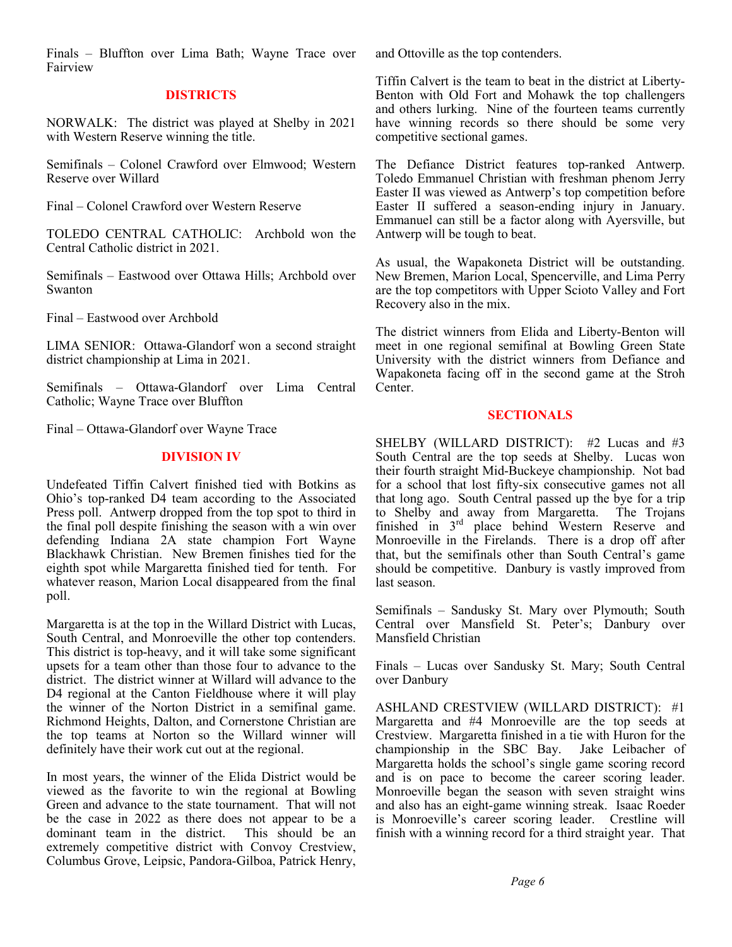Finals – Bluffton over Lima Bath; Wayne Trace over Fairview

#### **DISTRICTS**

NORWALK: The district was played at Shelby in 2021 with Western Reserve winning the title.

Semifinals – Colonel Crawford over Elmwood; Western Reserve over Willard

Final – Colonel Crawford over Western Reserve

TOLEDO CENTRAL CATHOLIC: Archbold won the Central Catholic district in 2021.

Semifinals – Eastwood over Ottawa Hills; Archbold over Swanton

Final – Eastwood over Archbold

LIMA SENIOR: Ottawa-Glandorf won a second straight district championship at Lima in 2021.

Semifinals – Ottawa-Glandorf over Lima Central Catholic; Wayne Trace over Bluffton

Final – Ottawa-Glandorf over Wayne Trace

## **DIVISION IV**

Undefeated Tiffin Calvert finished tied with Botkins as Ohio's top-ranked D4 team according to the Associated Press poll. Antwerp dropped from the top spot to third in the final poll despite finishing the season with a win over defending Indiana 2A state champion Fort Wayne Blackhawk Christian. New Bremen finishes tied for the eighth spot while Margaretta finished tied for tenth. For whatever reason, Marion Local disappeared from the final poll.

Margaretta is at the top in the Willard District with Lucas, South Central, and Monroeville the other top contenders. This district is top-heavy, and it will take some significant upsets for a team other than those four to advance to the district. The district winner at Willard will advance to the D4 regional at the Canton Fieldhouse where it will play the winner of the Norton District in a semifinal game. Richmond Heights, Dalton, and Cornerstone Christian are the top teams at Norton so the Willard winner will definitely have their work cut out at the regional.

In most years, the winner of the Elida District would be viewed as the favorite to win the regional at Bowling Green and advance to the state tournament. That will not be the case in 2022 as there does not appear to be a dominant team in the district. This should be an extremely competitive district with Convoy Crestview, Columbus Grove, Leipsic, Pandora-Gilboa, Patrick Henry, and Ottoville as the top contenders.

Tiffin Calvert is the team to beat in the district at Liberty-Benton with Old Fort and Mohawk the top challengers and others lurking. Nine of the fourteen teams currently have winning records so there should be some very competitive sectional games.

The Defiance District features top-ranked Antwerp. Toledo Emmanuel Christian with freshman phenom Jerry Easter II was viewed as Antwerp's top competition before Easter II suffered a season-ending injury in January. Emmanuel can still be a factor along with Ayersville, but Antwerp will be tough to beat.

As usual, the Wapakoneta District will be outstanding. New Bremen, Marion Local, Spencerville, and Lima Perry are the top competitors with Upper Scioto Valley and Fort Recovery also in the mix.

The district winners from Elida and Liberty-Benton will meet in one regional semifinal at Bowling Green State University with the district winners from Defiance and Wapakoneta facing off in the second game at the Stroh Center.

# **SECTIONALS**

SHELBY (WILLARD DISTRICT): #2 Lucas and #3 South Central are the top seeds at Shelby. Lucas won their fourth straight Mid-Buckeye championship. Not bad for a school that lost fifty-six consecutive games not all that long ago. South Central passed up the bye for a trip to Shelby and away from Margaretta. The Trojans finished in 3<sup>rd</sup> place behind Western Reserve and Monroeville in the Firelands. There is a drop off after that, but the semifinals other than South Central's game should be competitive. Danbury is vastly improved from last season.

Semifinals – Sandusky St. Mary over Plymouth; South Central over Mansfield St. Peter's; Danbury over Mansfield Christian

Finals – Lucas over Sandusky St. Mary; South Central over Danbury

ASHLAND CRESTVIEW (WILLARD DISTRICT): #1 Margaretta and #4 Monroeville are the top seeds at Crestview. Margaretta finished in a tie with Huron for the championship in the SBC Bay. Jake Leibacher of Margaretta holds the school's single game scoring record and is on pace to become the career scoring leader. Monroeville began the season with seven straight wins and also has an eight-game winning streak. Isaac Roeder is Monroeville's career scoring leader. Crestline will finish with a winning record for a third straight year. That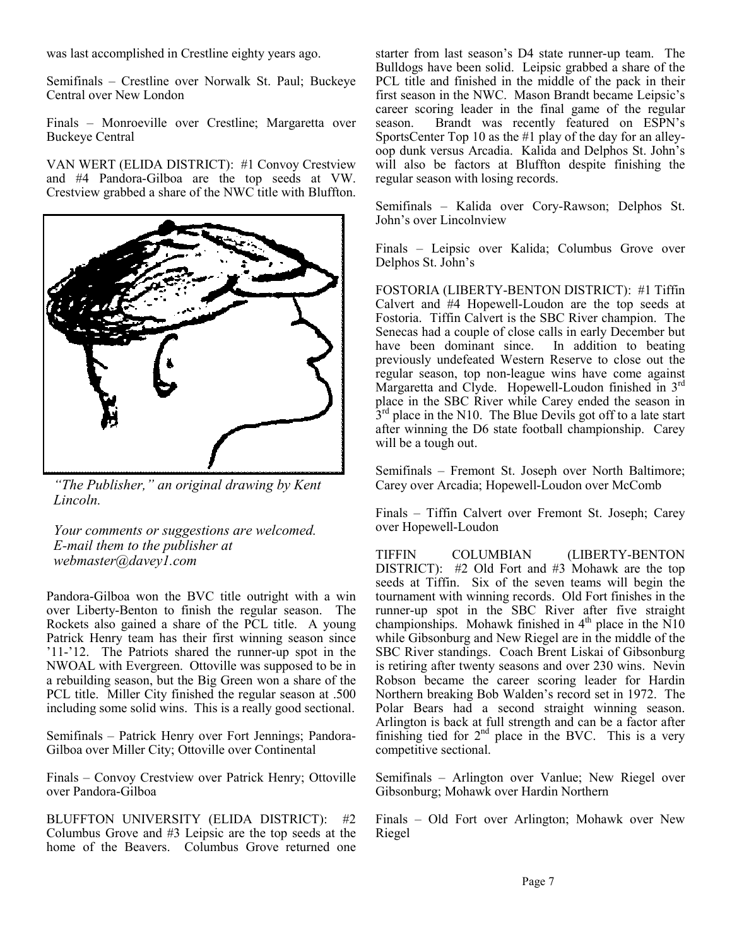was last accomplished in Crestline eighty years ago.

Semifinals – Crestline over Norwalk St. Paul; Buckeye Central over New London

Finals – Monroeville over Crestline; Margaretta over Buckeye Central

VAN WERT (ELIDA DISTRICT): #1 Convoy Crestview and #4 Pandora-Gilboa are the top seeds at VW. Crestview grabbed a share of the NWC title with Bluffton.



*"The Publisher," an original drawing by Kent Lincoln.* 

*Your comments or suggestions are welcomed. E-mail them to the publisher at webmaster@davey1.com* 

Pandora-Gilboa won the BVC title outright with a win over Liberty-Benton to finish the regular season. The Rockets also gained a share of the PCL title. A young Patrick Henry team has their first winning season since '11-'12. The Patriots shared the runner-up spot in the NWOAL with Evergreen. Ottoville was supposed to be in a rebuilding season, but the Big Green won a share of the PCL title. Miller City finished the regular season at .500 including some solid wins. This is a really good sectional.

Semifinals – Patrick Henry over Fort Jennings; Pandora-Gilboa over Miller City; Ottoville over Continental

Finals – Convoy Crestview over Patrick Henry; Ottoville over Pandora-Gilboa

BLUFFTON UNIVERSITY (ELIDA DISTRICT): #2 Columbus Grove and #3 Leipsic are the top seeds at the home of the Beavers. Columbus Grove returned one

starter from last season's D4 state runner-up team. The Bulldogs have been solid. Leipsic grabbed a share of the PCL title and finished in the middle of the pack in their first season in the NWC. Mason Brandt became Leipsic's career scoring leader in the final game of the regular season. Brandt was recently featured on ESPN's SportsCenter Top 10 as the #1 play of the day for an alleyoop dunk versus Arcadia. Kalida and Delphos St. John's will also be factors at Bluffton despite finishing the regular season with losing records.

Semifinals – Kalida over Cory-Rawson; Delphos St. John's over Lincolnview

Finals – Leipsic over Kalida; Columbus Grove over Delphos St. John's

FOSTORIA (LIBERTY-BENTON DISTRICT): #1 Tiffin Calvert and #4 Hopewell-Loudon are the top seeds at Fostoria. Tiffin Calvert is the SBC River champion. The Senecas had a couple of close calls in early December but<br>have been dominant since. In addition to beating have been dominant since. previously undefeated Western Reserve to close out the regular season, top non-league wins have come against Margaretta and Clyde. Hopewell-Loudon finished in 3<sup>rd</sup> place in the SBC River while Carey ended the season in  $3<sup>rd</sup>$  place in the N10. The Blue Devils got off to a late start after winning the D6 state football championship. Carey will be a tough out.

Semifinals – Fremont St. Joseph over North Baltimore; Carey over Arcadia; Hopewell-Loudon over McComb

Finals – Tiffin Calvert over Fremont St. Joseph; Carey over Hopewell-Loudon

TIFFIN COLUMBIAN (LIBERTY-BENTON DISTRICT): #2 Old Fort and #3 Mohawk are the top seeds at Tiffin. Six of the seven teams will begin the tournament with winning records. Old Fort finishes in the runner-up spot in the SBC River after five straight championships. Mohawk finished in  $4<sup>th</sup>$  place in the N10 while Gibsonburg and New Riegel are in the middle of the SBC River standings. Coach Brent Liskai of Gibsonburg is retiring after twenty seasons and over 230 wins. Nevin Robson became the career scoring leader for Hardin Northern breaking Bob Walden's record set in 1972. The Polar Bears had a second straight winning season. Arlington is back at full strength and can be a factor after finishing tied for  $2<sup>nd</sup>$  place in the BVC. This is a very competitive sectional.

Semifinals – Arlington over Vanlue; New Riegel over Gibsonburg; Mohawk over Hardin Northern

Finals – Old Fort over Arlington; Mohawk over New Riegel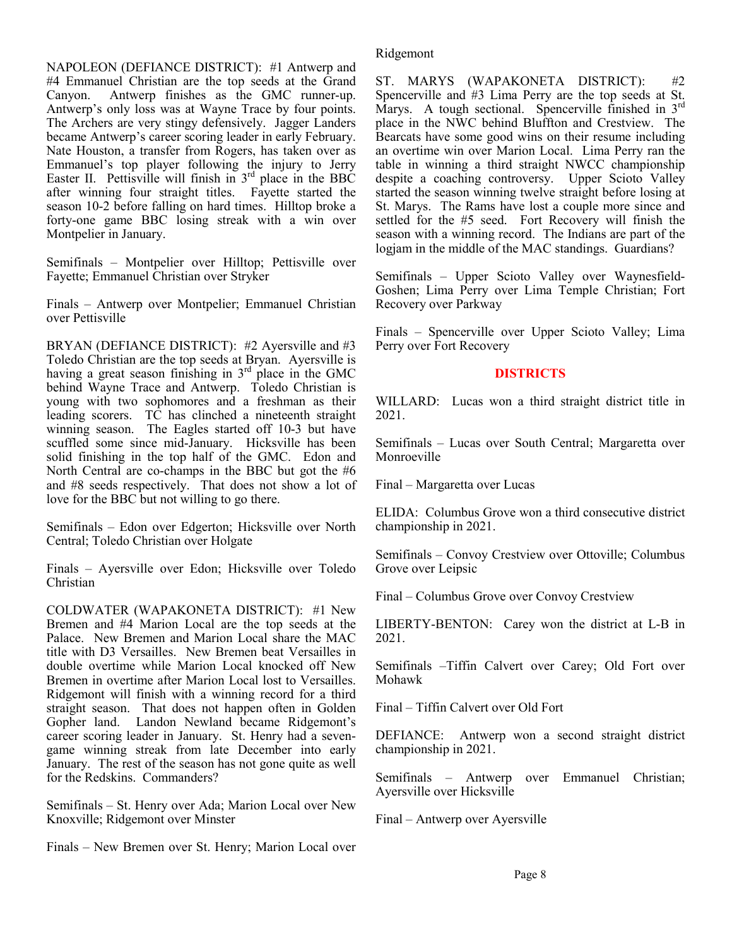NAPOLEON (DEFIANCE DISTRICT): #1 Antwerp and #4 Emmanuel Christian are the top seeds at the Grand Canyon. Antwerp finishes as the GMC runner-up. Antwerp's only loss was at Wayne Trace by four points. The Archers are very stingy defensively. Jagger Landers became Antwerp's career scoring leader in early February. Nate Houston, a transfer from Rogers, has taken over as Emmanuel's top player following the injury to Jerry Easter II. Pettisville will finish in  $3<sup>rd</sup>$  place in the BBC after winning four straight titles. Fayette started the season 10-2 before falling on hard times. Hilltop broke a forty-one game BBC losing streak with a win over Montpelier in January.

Semifinals – Montpelier over Hilltop; Pettisville over Fayette; Emmanuel Christian over Stryker

Finals – Antwerp over Montpelier; Emmanuel Christian over Pettisville

BRYAN (DEFIANCE DISTRICT): #2 Ayersville and #3 Toledo Christian are the top seeds at Bryan. Ayersville is having a great season finishing in  $3<sup>rd</sup>$  place in the GMC behind Wayne Trace and Antwerp. Toledo Christian is young with two sophomores and a freshman as their leading scorers. TC has clinched a nineteenth straight winning season. The Eagles started off 10-3 but have scuffled some since mid-January. Hicksville has been solid finishing in the top half of the GMC. Edon and North Central are co-champs in the BBC but got the #6 and #8 seeds respectively. That does not show a lot of love for the BBC but not willing to go there.

Semifinals – Edon over Edgerton; Hicksville over North Central; Toledo Christian over Holgate

Finals – Ayersville over Edon; Hicksville over Toledo Christian

COLDWATER (WAPAKONETA DISTRICT): #1 New Bremen and #4 Marion Local are the top seeds at the Palace. New Bremen and Marion Local share the MAC title with D3 Versailles. New Bremen beat Versailles in double overtime while Marion Local knocked off New Bremen in overtime after Marion Local lost to Versailles. Ridgemont will finish with a winning record for a third straight season. That does not happen often in Golden Gopher land. Landon Newland became Ridgemont's career scoring leader in January. St. Henry had a sevengame winning streak from late December into early January. The rest of the season has not gone quite as well for the Redskins. Commanders?

Semifinals – St. Henry over Ada; Marion Local over New Knoxville; Ridgemont over Minster

Finals – New Bremen over St. Henry; Marion Local over

#### Ridgemont

ST. MARYS (WAPAKONETA DISTRICT): #2 Spencerville and #3 Lima Perry are the top seeds at St. Marys. A tough sectional. Spencerville finished in 3<sup>rd</sup> place in the NWC behind Bluffton and Crestview. The Bearcats have some good wins on their resume including an overtime win over Marion Local. Lima Perry ran the table in winning a third straight NWCC championship despite a coaching controversy. Upper Scioto Valley started the season winning twelve straight before losing at St. Marys. The Rams have lost a couple more since and settled for the #5 seed. Fort Recovery will finish the season with a winning record. The Indians are part of the logjam in the middle of the MAC standings. Guardians?

Semifinals – Upper Scioto Valley over Waynesfield-Goshen; Lima Perry over Lima Temple Christian; Fort Recovery over Parkway

Finals – Spencerville over Upper Scioto Valley; Lima Perry over Fort Recovery

#### **DISTRICTS**

WILLARD: Lucas won a third straight district title in 2021.

Semifinals – Lucas over South Central; Margaretta over Monroeville

Final – Margaretta over Lucas

ELIDA: Columbus Grove won a third consecutive district championship in 2021.

Semifinals – Convoy Crestview over Ottoville; Columbus Grove over Leipsic

Final – Columbus Grove over Convoy Crestview

LIBERTY-BENTON: Carey won the district at L-B in 2021.

Semifinals –Tiffin Calvert over Carey; Old Fort over Mohawk

Final – Tiffin Calvert over Old Fort

DEFIANCE: Antwerp won a second straight district championship in 2021.

Semifinals – Antwerp over Emmanuel Christian; Ayersville over Hicksville

Final – Antwerp over Ayersville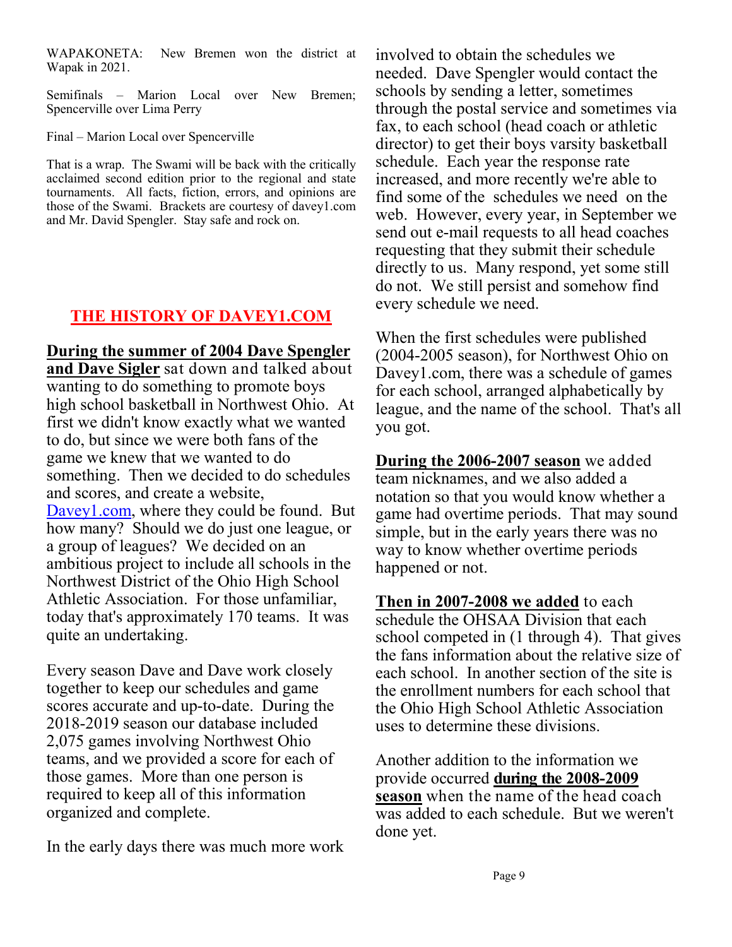WAPAKONETA: New Bremen won the district at Wapak in 2021.

Semifinals – Marion Local over New Bremen; Spencerville over Lima Perry

Final – Marion Local over Spencerville

That is a wrap. The Swami will be back with the critically acclaimed second edition prior to the regional and state tournaments. All facts, fiction, errors, and opinions are those of the Swami. Brackets are courtesy of davey1.com and Mr. David Spengler. Stay safe and rock on.

# **THE HISTORY OF DAVEY1.COM**

**During the summer of 2004 Dave Spengler** 

**and Dave Sigler** sat down and talked about wanting to do something to promote boys high school basketball in Northwest Ohio. At first we didn't know exactly what we wanted to do, but since we were both fans of the game we knew that we wanted to do something. Then we decided to do schedules and scores, and create a website, Davey1.com, where they could be found. But how many? Should we do just one league, or a group of leagues? We decided on an ambitious project to include all schools in the Northwest District of the Ohio High School Athletic Association. For those unfamiliar, today that's approximately 170 teams. It was quite an undertaking.

Every season Dave and Dave work closely together to keep our schedules and game scores accurate and up-to-date. During the 2018-2019 season our database included 2,075 games involving Northwest Ohio teams, and we provided a score for each of those games. More than one person is required to keep all of this information organized and complete.

In the early days there was much more work

involved to obtain the schedules we needed. Dave Spengler would contact the schools by sending a letter, sometimes through the postal service and sometimes via fax, to each school (head coach or athletic director) to get their boys varsity basketball schedule. Each year the response rate increased, and more recently we're able to find some of the schedules we need on the web. However, every year, in September we send out e-mail requests to all head coaches requesting that they submit their schedule directly to us. Many respond, yet some still do not. We still persist and somehow find every schedule we need.

When the first schedules were published (2004-2005 season), for Northwest Ohio on Davey1.com, there was a schedule of games for each school, arranged alphabetically by league, and the name of the school. That's all you got.

**During the 2006-2007 season** we added team nicknames, and we also added a notation so that you would know whether a game had overtime periods. That may sound simple, but in the early years there was no way to know whether overtime periods happened or not.

**Then in 2007-2008 we added** to each schedule the OHSAA Division that each school competed in (1 through 4). That gives the fans information about the relative size of each school. In another section of the site is the enrollment numbers for each school that the Ohio High School Athletic Association uses to determine these divisions.

Another addition to the information we provide occurred **during the 2008-2009 season** when the name of the head coach was added to each schedule. But we weren't done yet.